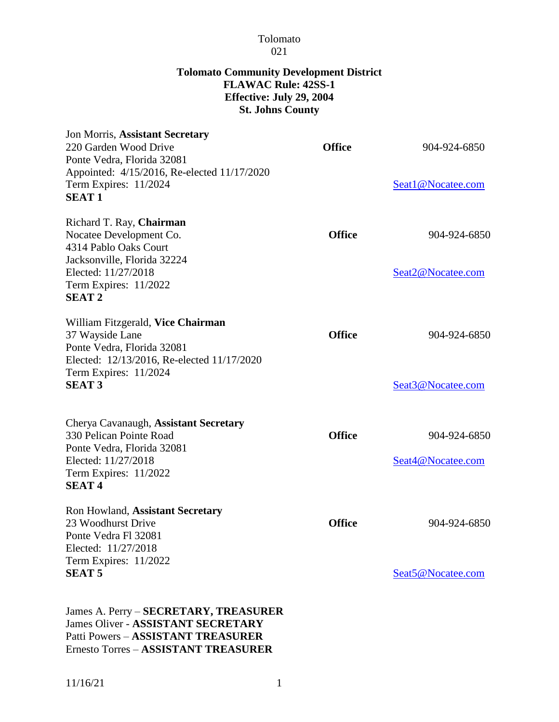#### Tolomato 021

#### **Tolomato Community Development District FLAWAC Rule: 42SS-1 Effective: July 29, 2004 St. Johns County**

| Jon Morris, Assistant Secretary<br>220 Garden Wood Drive<br>Ponte Vedra, Florida 32081                                                                                      | <b>Office</b> | 904-924-6850                      |
|-----------------------------------------------------------------------------------------------------------------------------------------------------------------------------|---------------|-----------------------------------|
| Appointed: 4/15/2016, Re-elected 11/17/2020<br>Term Expires: 11/2024<br><b>SEAT1</b>                                                                                        |               | Seat1@Nocatee.com                 |
| Richard T. Ray, Chairman<br>Nocatee Development Co.<br>4314 Pablo Oaks Court<br>Jacksonville, Florida 32224<br>Elected: 11/27/2018<br>Term Expires: 11/2022<br><b>SEAT2</b> | <b>Office</b> | 904-924-6850<br>Seat2@Nocatee.com |
| William Fitzgerald, Vice Chairman<br>37 Wayside Lane<br>Ponte Vedra, Florida 32081<br>Elected: 12/13/2016, Re-elected 11/17/2020<br>Term Expires: 11/2024<br><b>SEAT 3</b>  | <b>Office</b> | 904-924-6850<br>Seat3@Nocatee.com |
| Cherya Cavanaugh, Assistant Secretary<br>330 Pelican Pointe Road<br>Ponte Vedra, Florida 32081<br>Elected: 11/27/2018<br>Term Expires: 11/2022<br><b>SEAT4</b>              | <b>Office</b> | 904-924-6850<br>Seat4@Nocatee.com |
| Ron Howland, Assistant Secretary<br>23 Woodhurst Drive<br>Ponte Vedra Fl 32081<br>Elected: 11/27/2018<br>Term Expires: 11/2022<br><b>SEAT 5</b>                             | <b>Office</b> | 904-924-6850<br>Seat5@Nocatee.com |
| James A. Perry - SECRETARY, TREASURER<br><b>James Oliver - ASSISTANT SECRETARY</b><br>Patti Powers - ASSISTANT TREASURER                                                    |               |                                   |

Ernesto Torres – **ASSISTANT TREASURER**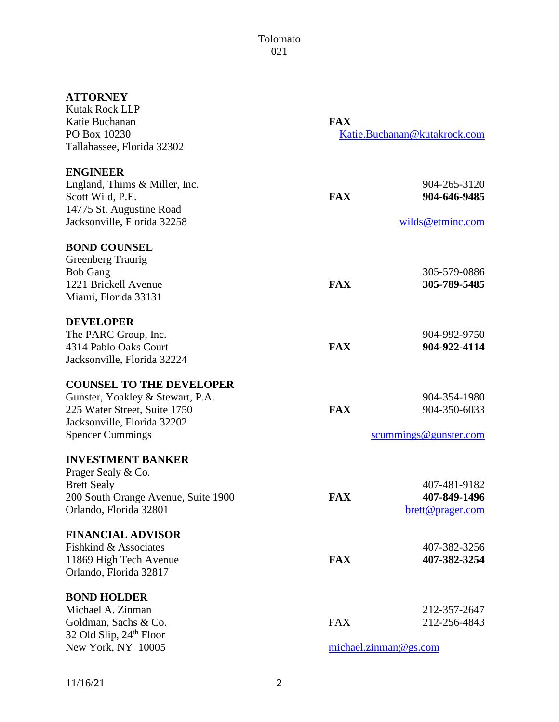## **ATTORNEY**

| <b>Kutak Rock LLP</b><br>Katie Buchanan<br>PO Box 10230 | <b>FAX</b><br>Katie.Buchanan@kutakrock.com |                       |  |
|---------------------------------------------------------|--------------------------------------------|-----------------------|--|
| Tallahassee, Florida 32302                              |                                            |                       |  |
| <b>ENGINEER</b>                                         |                                            |                       |  |
| England, Thims & Miller, Inc.                           |                                            | 904-265-3120          |  |
| Scott Wild, P.E.                                        | <b>FAX</b>                                 | 904-646-9485          |  |
| 14775 St. Augustine Road                                |                                            |                       |  |
| Jacksonville, Florida 32258                             |                                            | wilds@etminc.com      |  |
| <b>BOND COUNSEL</b>                                     |                                            |                       |  |
| Greenberg Traurig                                       |                                            |                       |  |
| <b>Bob Gang</b>                                         |                                            | 305-579-0886          |  |
| 1221 Brickell Avenue                                    | <b>FAX</b>                                 | 305-789-5485          |  |
| Miami, Florida 33131                                    |                                            |                       |  |
| <b>DEVELOPER</b>                                        |                                            |                       |  |
| The PARC Group, Inc.                                    |                                            | 904-992-9750          |  |
| 4314 Pablo Oaks Court                                   | <b>FAX</b>                                 | 904-922-4114          |  |
| Jacksonville, Florida 32224                             |                                            |                       |  |
| <b>COUNSEL TO THE DEVELOPER</b>                         |                                            |                       |  |
| Gunster, Yoakley & Stewart, P.A.                        |                                            | 904-354-1980          |  |
| 225 Water Street, Suite 1750                            | <b>FAX</b>                                 | 904-350-6033          |  |
| Jacksonville, Florida 32202                             |                                            |                       |  |
| <b>Spencer Cummings</b>                                 |                                            | scummings@gunster.com |  |
| <b>INVESTMENT BANKER</b>                                |                                            |                       |  |
| Prager Sealy & Co.                                      |                                            |                       |  |
| <b>Brett Sealy</b>                                      |                                            | 407-481-9182          |  |
| 200 South Orange Avenue, Suite 1900                     | <b>FAX</b>                                 | 407-849-1496          |  |
| Orlando, Florida 32801                                  |                                            | brett@prager.com      |  |
| <b>FINANCIAL ADVISOR</b>                                |                                            |                       |  |
| Fishkind & Associates                                   |                                            | 407-382-3256          |  |
| 11869 High Tech Avenue                                  | <b>FAX</b>                                 | 407-382-3254          |  |
| Orlando, Florida 32817                                  |                                            |                       |  |
| <b>BOND HOLDER</b>                                      |                                            |                       |  |
| Michael A. Zinman                                       |                                            | 212-357-2647          |  |
| Goldman, Sachs & Co.                                    | <b>FAX</b>                                 | 212-256-4843          |  |
| 32 Old Slip, 24th Floor                                 |                                            |                       |  |
| New York, NY 10005                                      | michael.zinman@gs.com                      |                       |  |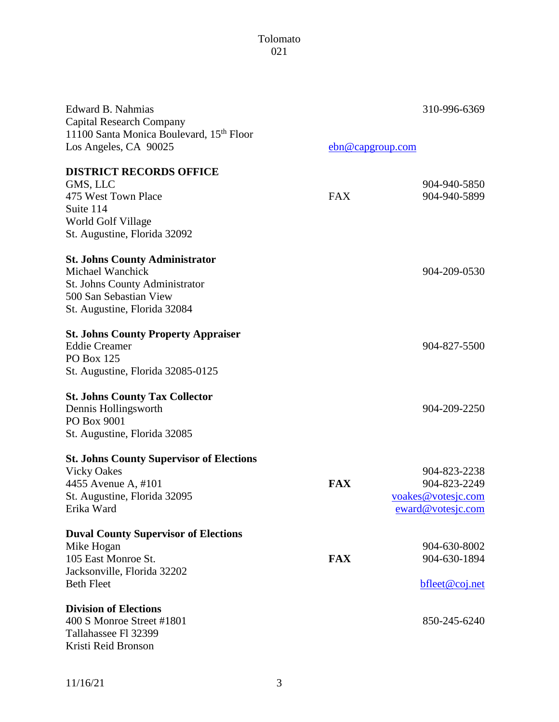### Tolomato 021

| Edward B. Nahmias                               |                  | 310-996-6369       |
|-------------------------------------------------|------------------|--------------------|
| <b>Capital Research Company</b>                 |                  |                    |
| 11100 Santa Monica Boulevard, 15th Floor        |                  |                    |
| Los Angeles, CA 90025                           | ebn@capgroup.com |                    |
| <b>DISTRICT RECORDS OFFICE</b>                  |                  |                    |
| GMS, LLC                                        |                  | 904-940-5850       |
| 475 West Town Place                             | <b>FAX</b>       | 904-940-5899       |
| Suite 114                                       |                  |                    |
| World Golf Village                              |                  |                    |
| St. Augustine, Florida 32092                    |                  |                    |
| <b>St. Johns County Administrator</b>           |                  |                    |
| Michael Wanchick                                |                  | 904-209-0530       |
| St. Johns County Administrator                  |                  |                    |
| 500 San Sebastian View                          |                  |                    |
| St. Augustine, Florida 32084                    |                  |                    |
| <b>St. Johns County Property Appraiser</b>      |                  |                    |
| <b>Eddie Creamer</b>                            |                  | 904-827-5500       |
| <b>PO Box 125</b>                               |                  |                    |
| St. Augustine, Florida 32085-0125               |                  |                    |
| <b>St. Johns County Tax Collector</b>           |                  |                    |
| Dennis Hollingsworth                            |                  | 904-209-2250       |
| PO Box 9001                                     |                  |                    |
| St. Augustine, Florida 32085                    |                  |                    |
| <b>St. Johns County Supervisor of Elections</b> |                  |                    |
| <b>Vicky Oakes</b>                              |                  | 904-823-2238       |
| 4455 Avenue A, #101                             | <b>FAX</b>       | 904-823-2249       |
| St. Augustine, Florida 32095                    |                  | voakes@votesjc.com |
| Erika Ward                                      |                  | eward@votesjc.com  |
| <b>Duval County Supervisor of Elections</b>     |                  |                    |
| Mike Hogan                                      |                  | 904-630-8002       |
| 105 East Monroe St.                             | <b>FAX</b>       | 904-630-1894       |
| Jacksonville, Florida 32202                     |                  |                    |
| <b>Beth Fleet</b>                               |                  | bfleet@coj.net     |
| <b>Division of Elections</b>                    |                  |                    |
| 400 S Monroe Street #1801                       |                  | 850-245-6240       |
| Tallahassee Fl 32399                            |                  |                    |
| Kristi Reid Bronson                             |                  |                    |